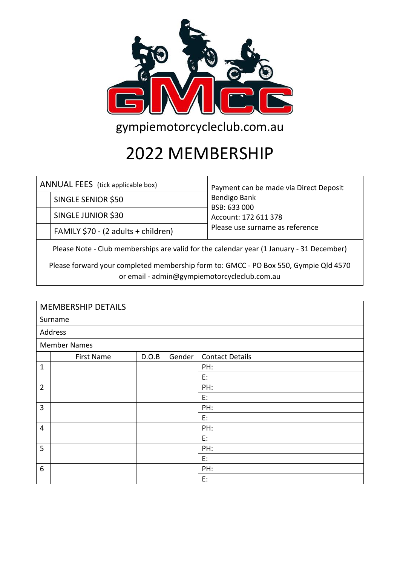

gympiemotorcycleclub.com.au

## 2022 MEMBERSHIP

|  | ANNUAL FEES (tick applicable box)               | Payment can be made via Direct Deposit<br>Bendigo Bank<br>BSB: 633 000<br>Account: 172 611 378 |  |  |  |  |
|--|-------------------------------------------------|------------------------------------------------------------------------------------------------|--|--|--|--|
|  | <b>SINGLE SENIOR \$50</b><br>SINGLE JUNIOR \$30 |                                                                                                |  |  |  |  |
|  |                                                 |                                                                                                |  |  |  |  |
|  | FAMILY \$70 - (2 adults + children)             | Please use surname as reference                                                                |  |  |  |  |
|  |                                                 |                                                                                                |  |  |  |  |

Please Note - Club memberships are valid for the calendar year (1 January - 31 December)

Please forward your completed membership form to: GMCC - PO Box 550, Gympie Qld 4570 or email - admin@gympiemotorcycleclub.com.au

| <b>MEMBERSHIP DETAILS</b> |  |                   |       |        |                        |
|---------------------------|--|-------------------|-------|--------|------------------------|
| Surname                   |  |                   |       |        |                        |
| Address                   |  |                   |       |        |                        |
| <b>Member Names</b>       |  |                   |       |        |                        |
|                           |  | <b>First Name</b> | D.O.B | Gender | <b>Contact Details</b> |
| $\mathbf 1$               |  |                   |       |        | PH:                    |
|                           |  |                   |       |        | E:                     |
| $\overline{2}$            |  |                   |       |        | PH:                    |
|                           |  |                   |       |        | E:                     |
| 3                         |  |                   |       |        | PH:                    |
|                           |  |                   |       |        | E:                     |
| $\overline{4}$            |  |                   |       |        | PH:                    |
|                           |  |                   |       |        | E:                     |
| 5                         |  |                   |       |        | PH:                    |
|                           |  |                   |       |        | E:                     |
| 6                         |  |                   |       |        | PH:                    |
|                           |  |                   |       |        | E:                     |